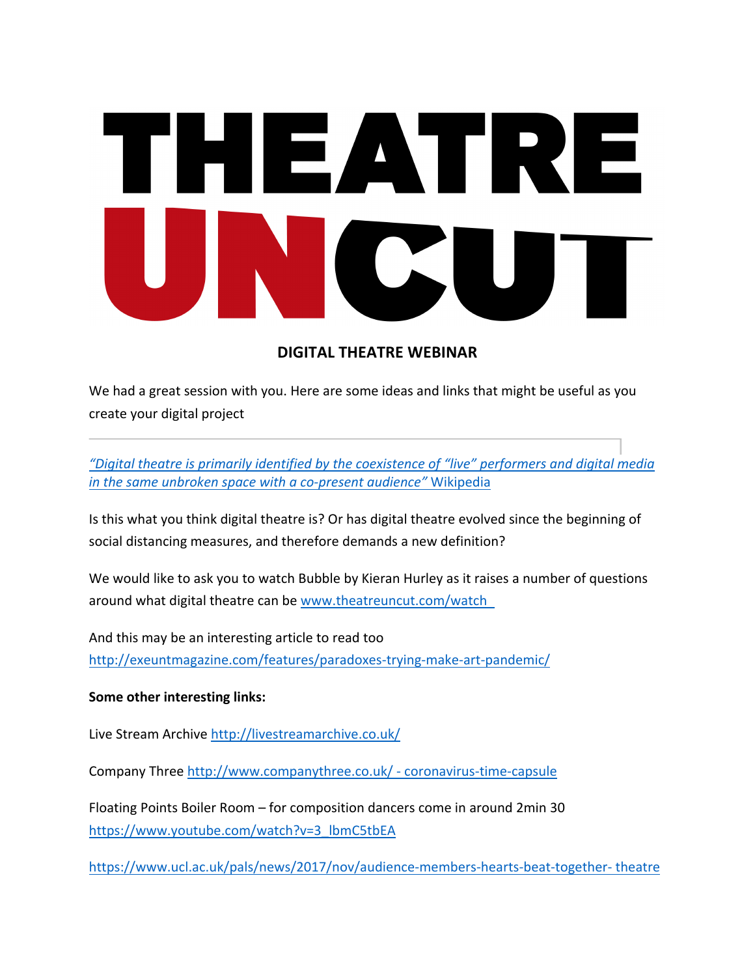# HEATRI

# **DIGITAL THEATRE WEBINAR**

We had a great session with you. Here are some ideas and links that might be useful as you create your digital project

"Digital theatre is primarily identified by the coexistence of "live" performers and digital media *in the same unbroken space with a co-present audience"* Wikipedia

Is this what you think digital theatre is? Or has digital theatre evolved since the beginning of social distancing measures, and therefore demands a new definition?

We would like to ask you to watch Bubble by Kieran Hurley as it raises a number of questions around what digital theatre can be www.theatreuncut.com/watch

And this may be an interesting article to read too http://exeuntmagazine.com/features/paradoxes-trying-make-art-pandemic/

# **Some other interesting links:**

Live Stream Archive http://livestreamarchive.co.uk/

Company Three http://www.companythree.co.uk/ - coronavirus-time-capsule

Floating Points Boiler Room – for composition dancers come in around 2min 30 https://www.youtube.com/watch?v=3\_lbmC5tbEA

https://www.ucl.ac.uk/pals/news/2017/nov/audience-members-hearts-beat-together- theatre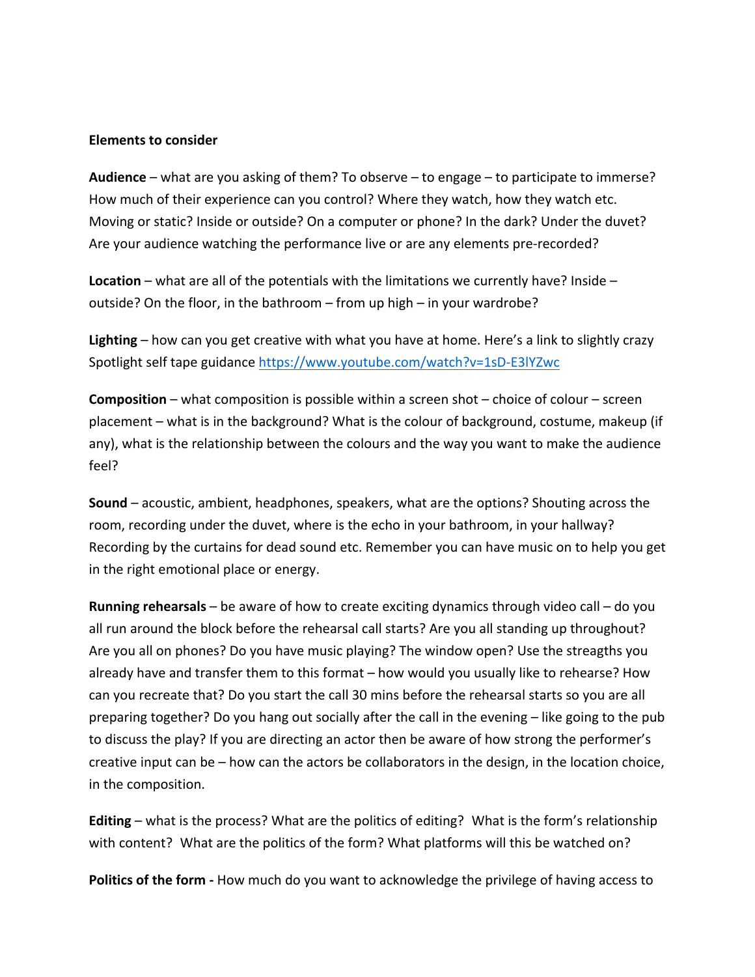#### **Elements to consider**

**Audience** – what are you asking of them? To observe – to engage – to participate to immerse? How much of their experience can you control? Where they watch, how they watch etc. Moving or static? Inside or outside? On a computer or phone? In the dark? Under the duvet? Are your audience watching the performance live or are any elements pre-recorded?

**Location** – what are all of the potentials with the limitations we currently have? Inside – outside? On the floor, in the bathroom – from up high – in your wardrobe?

**Lighting** – how can you get creative with what you have at home. Here's a link to slightly crazy Spotlight self tape guidance https://www.youtube.com/watch?v=1sD-E3lYZwc

**Composition** – what composition is possible within a screen shot – choice of colour – screen placement – what is in the background? What is the colour of background, costume, makeup (if any), what is the relationship between the colours and the way you want to make the audience feel? 

**Sound** – acoustic, ambient, headphones, speakers, what are the options? Shouting across the room, recording under the duvet, where is the echo in your bathroom, in your hallway? Recording by the curtains for dead sound etc. Remember you can have music on to help you get in the right emotional place or energy.

**Running rehearsals** – be aware of how to create exciting dynamics through video call – do you all run around the block before the rehearsal call starts? Are you all standing up throughout? Are you all on phones? Do you have music playing? The window open? Use the streagths you already have and transfer them to this format  $-$  how would you usually like to rehearse? How can you recreate that? Do you start the call 30 mins before the rehearsal starts so you are all preparing together? Do you hang out socially after the call in the evening  $-$  like going to the pub to discuss the play? If you are directing an actor then be aware of how strong the performer's creative input can be  $-$  how can the actors be collaborators in the design, in the location choice, in the composition.

**Editing** – what is the process? What are the politics of editing? What is the form's relationship with content? What are the politics of the form? What platforms will this be watched on?

**Politics of the form** - How much do you want to acknowledge the privilege of having access to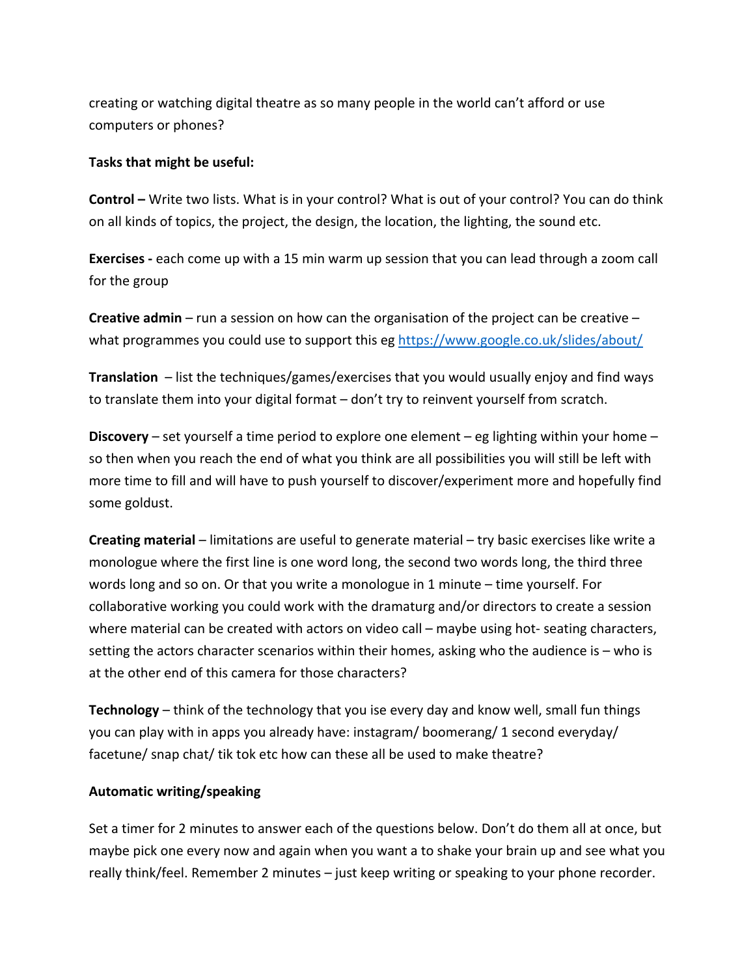creating or watching digital theatre as so many people in the world can't afford or use computers or phones?

#### Tasks that might be useful:

**Control** – Write two lists. What is in your control? What is out of your control? You can do think on all kinds of topics, the project, the design, the location, the lighting, the sound etc.

**Exercises** - each come up with a 15 min warm up session that you can lead through a zoom call for the group

**Creative admin** – run a session on how can the organisation of the project can be creative – what programmes you could use to support this eg https://www.google.co.uk/slides/about/

**Translation** – list the techniques/games/exercises that you would usually enjoy and find ways to translate them into your digital format  $-$  don't try to reinvent yourself from scratch.

**Discovery** – set yourself a time period to explore one element – eg lighting within your home – so then when you reach the end of what you think are all possibilities you will still be left with more time to fill and will have to push yourself to discover/experiment more and hopefully find some goldust.

**Creating material** – limitations are useful to generate material – try basic exercises like write a monologue where the first line is one word long, the second two words long, the third three words long and so on. Or that you write a monologue in 1 minute  $-$  time yourself. For collaborative working you could work with the dramaturg and/or directors to create a session where material can be created with actors on video call – maybe using hot- seating characters, setting the actors character scenarios within their homes, asking who the audience is  $-$  who is at the other end of this camera for those characters?

**Technology** – think of the technology that you ise every day and know well, small fun things you can play with in apps you already have: instagram/ boomerang/ 1 second everyday/ facetune/ snap chat/ tik tok etc how can these all be used to make theatre?

# **Automatic writing/speaking**

Set a timer for 2 minutes to answer each of the questions below. Don't do them all at once, but maybe pick one every now and again when you want a to shake your brain up and see what you really think/feel. Remember 2 minutes – just keep writing or speaking to your phone recorder.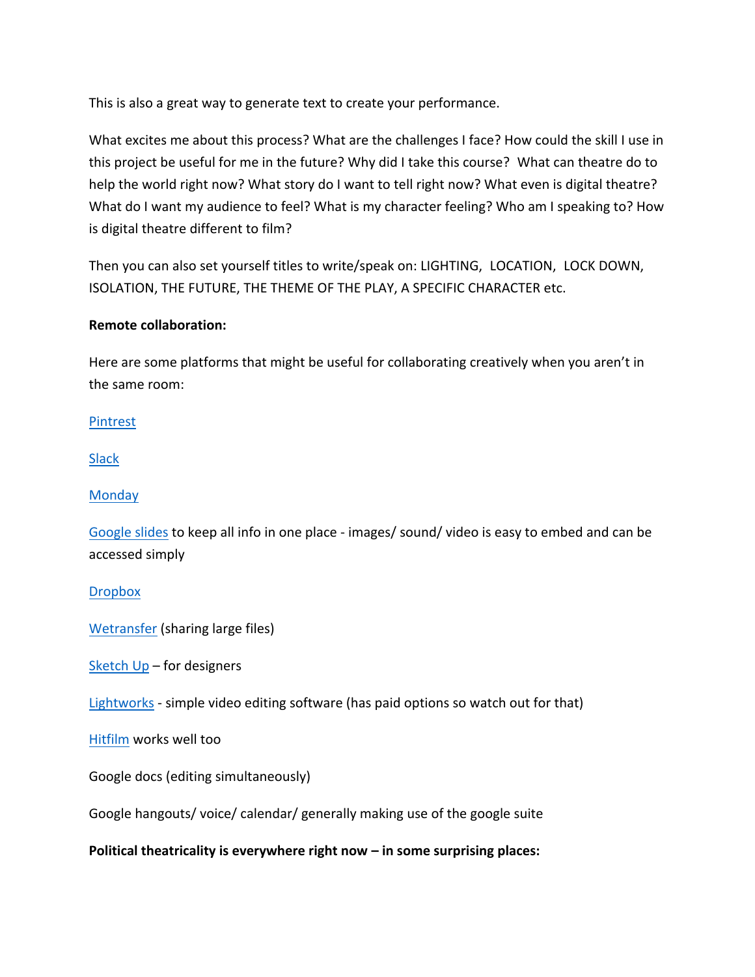This is also a great way to generate text to create your performance.

What excites me about this process? What are the challenges I face? How could the skill I use in this project be useful for me in the future? Why did I take this course? What can theatre do to help the world right now? What story do I want to tell right now? What even is digital theatre? What do I want my audience to feel? What is my character feeling? Who am I speaking to? How is digital theatre different to film?

Then you can also set yourself titles to write/speak on: LIGHTING, LOCATION, LOCK DOWN, ISOLATION, THE FUTURE, THE THEME OF THE PLAY, A SPECIFIC CHARACTER etc.

# **Remote collaboration:**

Here are some platforms that might be useful for collaborating creatively when you aren't in the same room:

Pintrest 

Slack

**Monday** 

Google slides to keep all info in one place - images/ sound/ video is easy to embed and can be accessed simply

**Dropbox** 

Wetransfer (sharing large files)

Sketch  $Up$  – for designers

Lightworks - simple video editing software (has paid options so watch out for that)

Hitfilm works well too

Google docs (editing simultaneously)

Google hangouts/ voice/ calendar/ generally making use of the google suite

**Political theatricality is everywhere right now – in some surprising places:**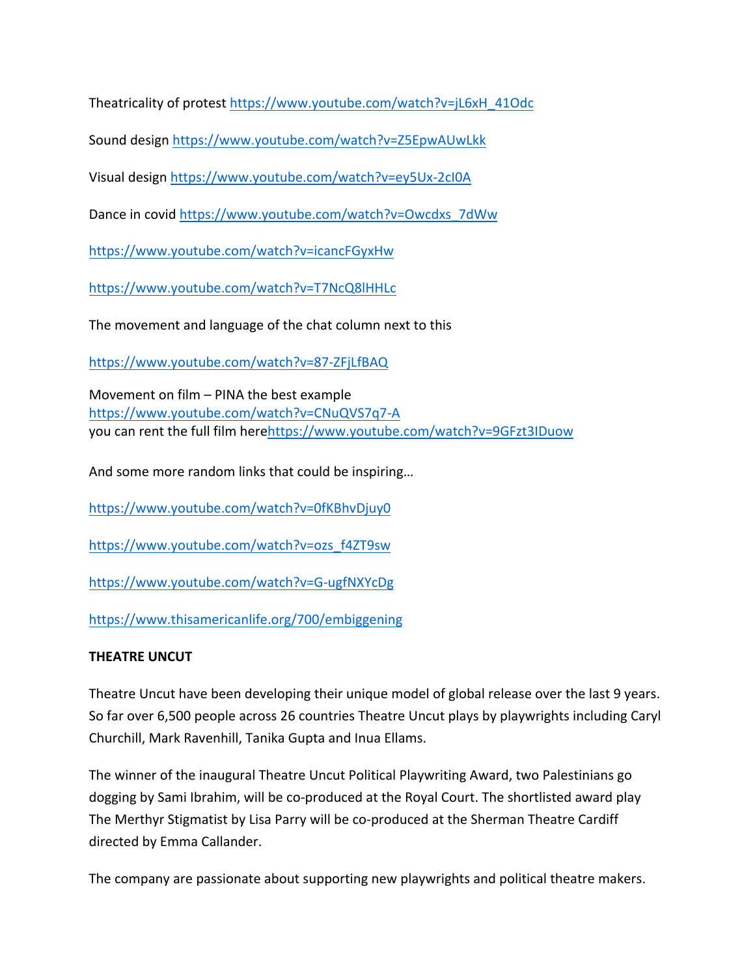Theatricality of protest https://www.youtube.com/watch?v=jL6xH\_41Odc

Sound design https://www.youtube.com/watch?v=Z5EpwAUwLkk

Visual design https://www.youtube.com/watch?v=ey5Ux-2cI0A

Dance in covid https://www.youtube.com/watch?v=Owcdxs\_7dWw

https://www.youtube.com/watch?v=icancFGyxHw

https://www.youtube.com/watch?v=T7NcQ8lHHLc

The movement and language of the chat column next to this

https://www.youtube.com/watch?v=87-ZFjLfBAQ

Movement on  $film$  – PINA the best example https://www.youtube.com/watch?v=CNuQVS7q7-A you can rent the full film herehttps://www.youtube.com/watch?v=9GFzt3IDuow

And some more random links that could be inspiring...

https://www.youtube.com/watch?v=0fKBhvDjuy0

https://www.youtube.com/watch?v=ozs\_f4ZT9sw

https://www.youtube.com/watch?v=G-ugfNXYcDg

https://www.thisamericanlife.org/700/embiggening

# **THEATRE UNCUT**

Theatre Uncut have been developing their unique model of global release over the last 9 years. So far over 6,500 people across 26 countries Theatre Uncut plays by playwrights including Caryl Churchill, Mark Ravenhill, Tanika Gupta and Inua Ellams.

The winner of the inaugural Theatre Uncut Political Playwriting Award, two Palestinians go dogging by Sami Ibrahim, will be co-produced at the Royal Court. The shortlisted award play The Merthyr Stigmatist by Lisa Parry will be co-produced at the Sherman Theatre Cardiff directed by Emma Callander.

The company are passionate about supporting new playwrights and political theatre makers.